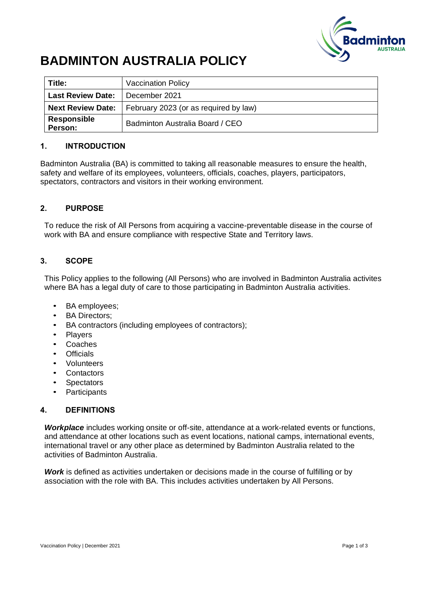

# **BADMINTON AUSTRALIA POLICY**

| Title:                   | <b>Vaccination Policy</b>             |  |
|--------------------------|---------------------------------------|--|
| <b>Last Review Date:</b> | l December 2021                       |  |
| <b>Next Review Date:</b> | February 2023 (or as required by law) |  |
| Responsible<br>Person:   | Badminton Australia Board / CEO       |  |

### **1. INTRODUCTION**

Badminton Australia (BA) is committed to taking all reasonable measures to ensure the health, safety and welfare of its employees, volunteers, officials, coaches, players, participators, spectators, contractors and visitors in their working environment.

### **2. PURPOSE**

To reduce the risk of All Persons from acquiring a vaccine-preventable disease in the course of work with BA and ensure compliance with respective State and Territory laws.

### **3. SCOPE**

This Policy applies to the following (All Persons) who are involved in Badminton Australia activites where BA has a legal duty of care to those participating in Badminton Australia activities.

- BA employees;
- BA Directors;
- BA contractors (including employees of contractors);
- **Players**
- Coaches
- Officials
- Volunteers
- **Contactors**
- **Spectators**
- Participants

### **4. DEFINITIONS**

*Workplace* includes working onsite or off-site, attendance at a work-related events or functions, and attendance at other locations such as event locations, national camps, international events, international travel or any other place as determined by Badminton Australia related to the activities of Badminton Australia.

*Work* is defined as activities undertaken or decisions made in the course of fulfilling or by association with the role with BA. This includes activities undertaken by All Persons.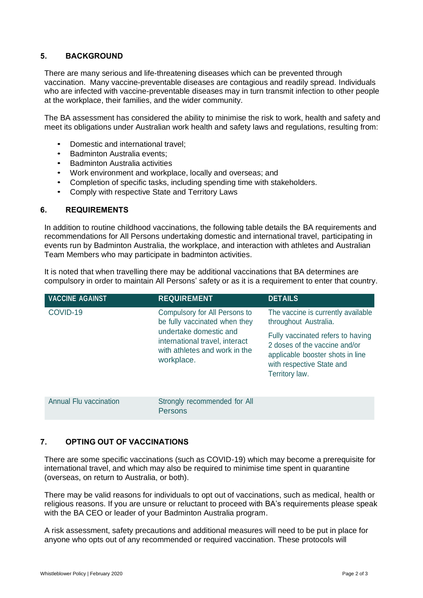### **5. BACKGROUND**

There are many serious and life-threatening diseases which can be prevented through vaccination. Many vaccine-preventable diseases are contagious and readily spread. Individuals who are infected with vaccine-preventable diseases may in turn transmit infection to other people at the workplace, their families, and the wider community.

The BA assessment has considered the ability to minimise the risk to work, health and safety and meet its obligations under Australian work health and safety laws and regulations, resulting from:

- Domestic and international travel;
- Badminton Australia events;
- **Badminton Australia activities**
- Work environment and workplace, locally and overseas; and
- Completion of specific tasks, including spending time with stakeholders.
- Comply with respective State and Territory Laws

#### **6. REQUIREMENTS**

In addition to routine childhood vaccinations, the following table details the BA requirements and recommendations for All Persons undertaking domestic and international travel, participating in events run by Badminton Australia, the workplace, and interaction with athletes and Australian Team Members who may participate in badminton activities.

It is noted that when travelling there may be additional vaccinations that BA determines are compulsory in order to maintain All Persons' safety or as it is a requirement to enter that country.

| <b>VACCINE AGAINST</b> | <b>REQUIREMENT</b>                                                                                                                                                        | <b>DETAILS</b>                                                                                                                                        |
|------------------------|---------------------------------------------------------------------------------------------------------------------------------------------------------------------------|-------------------------------------------------------------------------------------------------------------------------------------------------------|
| COVID-19               | Compulsory for All Persons to<br>be fully vaccinated when they<br>undertake domestic and<br>international travel, interact<br>with athletes and work in the<br>workplace. | The vaccine is currently available<br>throughout Australia.                                                                                           |
|                        |                                                                                                                                                                           | Fully vaccinated refers to having<br>2 doses of the vaccine and/or<br>applicable booster shots in line<br>with respective State and<br>Territory law. |
| Annual Flu vaccination | Strongly recommended for All<br><b>Persons</b>                                                                                                                            |                                                                                                                                                       |

### **7. OPTING OUT OF VACCINATIONS**

There are some specific vaccinations (such as COVID-19) which may become a prerequisite for international travel, and which may also be required to minimise time spent in quarantine (overseas, on return to Australia, or both).

There may be valid reasons for individuals to opt out of vaccinations, such as medical, health or religious reasons. If you are unsure or reluctant to proceed with BA's requirements please speak with the BA CEO or leader of your Badminton Australia program.

A risk assessment, safety precautions and additional measures will need to be put in place for anyone who opts out of any recommended or required vaccination. These protocols will